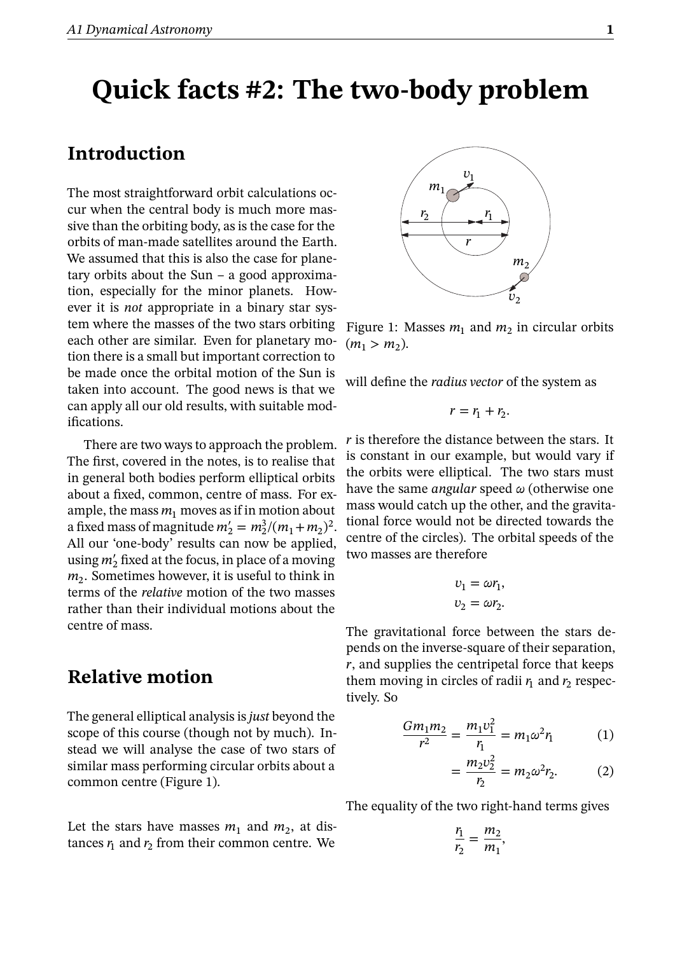## **Quick facts #2: The two-body problem**

## **Introduction**

The most straightforward orbit calculations occur when the central body is much more massive than the orbiting body, as is the case for the orbits of man-made satellites around the Earth. We assumed that this is also the case for planetary orbits about the Sun – a good approximation, especially for the minor planets. However it is *not* appropriate in a binary star system where the masses of the two stars orbiting each other are similar. Even for planetary motion there is a small but important correction to be made once the orbital motion of the Sun is taken into account. The good news is that we can apply all our old results, with suitable modifications.

There are two ways to approach the problem. The first, covered in the notes, is to realise that in general both bodies perform elliptical orbits about a fixed, common, centre of mass. For example, the mass  $m_1$  moves as if in motion about a fixed mass of magnitude  $m'_2 = m_2^3/(m_1 + m_2)^2$ . All our 'one-body' results can now be applied, using  $m'_2$  fixed at the focus, in place of a moving  $m_2$ . Sometimes however, it is useful to think in terms of the *relative* motion of the two masses rather than their individual motions about the centre of mass.

## **Relative motion**

The general elliptical analysis is*just* beyond the scope of this course (though not by much). Instead we will analyse the case of two stars of similar mass performing circular orbits about a common centre (Figure 1).

Let the stars have masses  $m_1$  and  $m_2$ , at distances  $r_1$  and  $r_2$  from their common centre. We



Figure 1: Masses  $m_1$  and  $m_2$  in circular orbits  $(m_1 > m_2).$ 

will define the *radius vector* of the system as

$$
r=r_1+r_2.
$$

 *is therefore the distance between the stars. It* is constant in our example, but would vary if the orbits were elliptical. The two stars must have the same *angular* speed  $\omega$  (otherwise one mass would catch up the other, and the gravitational force would not be directed towards the centre of the circles). The orbital speeds of the two masses are therefore

$$
v_1 = \omega r_1,
$$
  

$$
v_2 = \omega r_2.
$$

The gravitational force between the stars depends on the inverse-square of their separation,  $r$ , and supplies the centripetal force that keeps them moving in circles of radii  $r_1$  and  $r_2$  respectively. So

$$
\frac{Gm_1m_2}{r^2} = \frac{m_1v_1^2}{r_1} = m_1\omega^2r_1\tag{1}
$$

,

$$
=\frac{m_2v_2^2}{r_2}=m_2\omega^2r_2.
$$
 (2)

The equality of the two right-hand terms gives

$$
\frac{r_1}{r_2} = \frac{m_2}{m_1}
$$